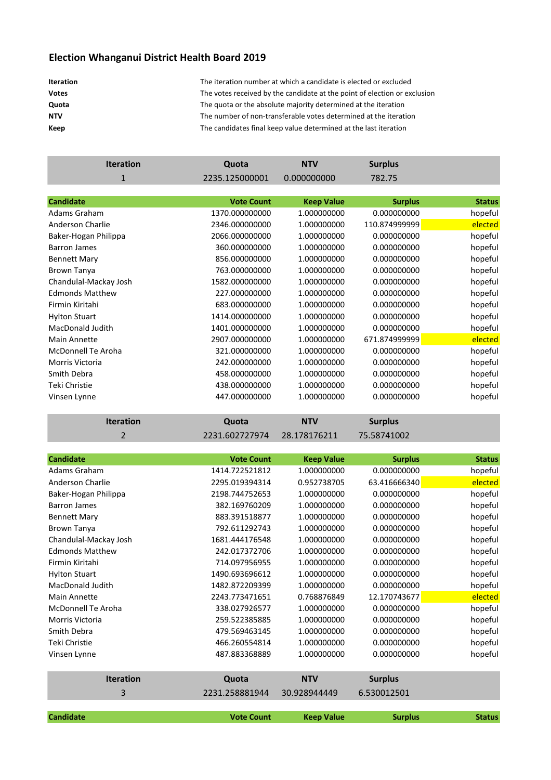## **Election Whanganui District Health Board 2019**

| <b>Iteration</b> |  |
|------------------|--|
| <b>Votes</b>     |  |
| Quota            |  |
| NTV              |  |
| Keep             |  |

**Iteration** The iteration number at which a candidate is elected or excluded **Votes** The votes received by the candidate at the point of election or exclusion The quota or the absolute majority determined at the iteration The number of non-transferable votes determined at the iteration **Keep** The candidates final keep value determined at the last iteration

| <b>Iteration</b>          | Quota             | <b>NTV</b>        | <b>Surplus</b> |               |
|---------------------------|-------------------|-------------------|----------------|---------------|
| $\mathbf{1}$              | 2235.125000001    | 0.000000000       | 782.75         |               |
|                           |                   |                   |                |               |
| <b>Candidate</b>          | <b>Vote Count</b> | <b>Keep Value</b> | <b>Surplus</b> | <b>Status</b> |
| Adams Graham              | 1370.000000000    | 1.000000000       | 0.000000000    | hopeful       |
| Anderson Charlie          | 2346.000000000    | 1.000000000       | 110.874999999  | elected       |
| Baker-Hogan Philippa      | 2066.000000000    | 1.000000000       | 0.000000000    | hopeful       |
| <b>Barron James</b>       | 360.000000000     | 1.000000000       | 0.000000000    | hopeful       |
| <b>Bennett Mary</b>       | 856.000000000     | 1.000000000       | 0.000000000    | hopeful       |
| <b>Brown Tanya</b>        | 763.000000000     | 1.000000000       | 0.000000000    | hopeful       |
| Chandulal-Mackay Josh     | 1582.000000000    | 1.000000000       | 0.000000000    | hopeful       |
| <b>Edmonds Matthew</b>    | 227.000000000     | 1.000000000       | 0.000000000    | hopeful       |
| Firmin Kiritahi           | 683.000000000     | 1.000000000       | 0.000000000    | hopeful       |
| <b>Hylton Stuart</b>      | 1414.000000000    | 1.000000000       | 0.000000000    | hopeful       |
| MacDonald Judith          | 1401.000000000    | 1.000000000       | 0.000000000    | hopeful       |
| <b>Main Annette</b>       | 2907.000000000    | 1.000000000       | 671.874999999  | elected       |
| <b>McDonnell Te Aroha</b> | 321.000000000     | 1.000000000       | 0.000000000    | hopeful       |
| Morris Victoria           | 242.000000000     | 1.000000000       | 0.000000000    | hopeful       |
| Smith Debra               | 458.000000000     | 1.000000000       | 0.000000000    | hopeful       |
| Teki Christie             | 438.000000000     | 1.000000000       | 0.000000000    | hopeful       |
| Vinsen Lynne              | 447.000000000     | 1.000000000       | 0.000000000    | hopeful       |
|                           |                   |                   |                |               |
| <b>Iteration</b>          | Quota             | <b>NTV</b>        | <b>Surplus</b> |               |
| $\overline{2}$            | 2231.602727974    | 28.178176211      | 75.58741002    |               |
|                           |                   |                   |                |               |
| <b>Candidate</b>          | <b>Vote Count</b> | <b>Keep Value</b> | <b>Surplus</b> | <b>Status</b> |
| Adams Graham              | 1414.722521812    | 1.000000000       | 0.000000000    | hopeful       |
| Anderson Charlie          | 2295.019394314    | 0.952738705       | 63.416666340   | elected       |
| Baker-Hogan Philippa      | 2198.744752653    | 1.000000000       | 0.000000000    | hopeful       |
| <b>Barron James</b>       | 382.169760209     | 1.000000000       | 0.000000000    | hopeful       |
| <b>Bennett Mary</b>       | 883.391518877     | 1.000000000       | 0.000000000    | hopeful       |
| Brown Tanya               | 792.611292743     | 1.000000000       | 0.000000000    | hopeful       |
| Chandulal-Mackay Josh     | 1681.444176548    | 1.000000000       | 0.000000000    | hopeful       |
| <b>Edmonds Matthew</b>    | 242.017372706     | 1.000000000       | 0.000000000    | hopeful       |
| Firmin Kiritahi           | 714.097956955     | 1.000000000       | 0.000000000    | hopeful       |
| <b>Hylton Stuart</b>      | 1490.693696612    | 1.000000000       | 0.000000000    | hopeful       |
| MacDonald Judith          | 1482.872209399    | 1.000000000       | 0.000000000    | hopeful       |
| Main Annette              | 2243.773471651    | 0.768876849       | 12.170743677   | elected       |
| McDonnell Te Aroha        | 338.027926577     | 1.000000000       | 0.000000000    | hopeful       |
| Morris Victoria           | 259.522385885     | 1.000000000       | 0.000000000    | hopeful       |
| Smith Debra               | 479.569463145     | 1.000000000       | 0.000000000    | hopeful       |
| Teki Christie             | 466.260554814     | 1.000000000       | 0.000000000    | hopeful       |
| Vinsen Lynne              | 487.883368889     | 1.000000000       | 0.000000000    | hopeful       |
| <b>Iteration</b>          | Quota             | <b>NTV</b>        | <b>Surplus</b> |               |
|                           |                   |                   |                |               |
| 3                         | 2231.258881944    | 30.928944449      | 6.530012501    |               |

**Candidate Vote Count Keep Value Surplus Status**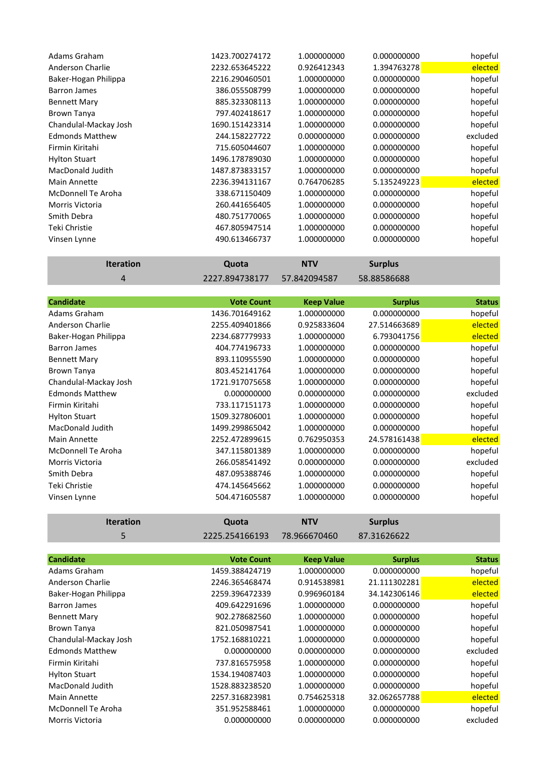| Adams Graham           | 1423.700274172 | 1.000000000 | 0.000000000 | hopeful  |
|------------------------|----------------|-------------|-------------|----------|
| Anderson Charlie       | 2232.653645222 | 0.926412343 | 1.394763278 | elected  |
| Baker-Hogan Philippa   | 2216.290460501 | 1.000000000 | 0.000000000 | hopeful  |
| Barron James           | 386.055508799  | 1.000000000 | 0.000000000 | hopeful  |
| <b>Bennett Mary</b>    | 885.323308113  | 1.000000000 | 0.000000000 | hopeful  |
| Brown Tanya            | 797.402418617  | 1.000000000 | 0.000000000 | hopeful  |
| Chandulal-Mackay Josh  | 1690.151423314 | 1.000000000 | 0.000000000 | hopeful  |
| <b>Edmonds Matthew</b> | 244.158227722  | 0.000000000 | 0.000000000 | excluded |
| Firmin Kiritahi        | 715.605044607  | 1.000000000 | 0.000000000 | hopeful  |
| <b>Hylton Stuart</b>   | 1496.178789030 | 1.000000000 | 0.000000000 | hopeful  |
| MacDonald Judith       | 1487.873833157 | 1.000000000 | 0.000000000 | hopeful  |
| Main Annette           | 2236.394131167 | 0.764706285 | 5.135249223 | elected  |
| McDonnell Te Aroha     | 338.671150409  | 1.000000000 | 0.000000000 | hopeful  |
| <b>Morris Victoria</b> | 260.441656405  | 1.000000000 | 0.000000000 | hopeful  |
| Smith Debra            | 480.751770065  | 1.000000000 | 0.000000000 | hopeful  |
| Teki Christie          | 467.805947514  | 1.000000000 | 0.000000000 | hopeful  |
| Vinsen Lynne           | 490.613466737  | 1.000000000 | 0.000000000 | hopeful  |
|                        |                |             |             |          |

| <b>Iteration</b> | Quota                       | <b>NTV</b> | <b>Surplus</b> |
|------------------|-----------------------------|------------|----------------|
|                  | 2227.894738177 57.842094587 |            | 58.88586688    |

| <b>Candidate</b>       | <b>Vote Count</b> | <b>Keep Value</b> | <b>Surplus</b> | <b>Status</b> |
|------------------------|-------------------|-------------------|----------------|---------------|
| Adams Graham           | 1436.701649162    | 1.000000000       | 0.000000000    | hopeful       |
| Anderson Charlie       | 2255.409401866    | 0.925833604       | 27.514663689   | elected       |
| Baker-Hogan Philippa   | 2234.687779933    | 1.000000000       | 6.793041756    | elected       |
| <b>Barron James</b>    | 404.774196733     | 1.000000000       | 0.000000000    | hopeful       |
| <b>Bennett Mary</b>    | 893.110955590     | 1.000000000       | 0.000000000    | hopeful       |
| <b>Brown Tanya</b>     | 803.452141764     | 1.000000000       | 0.000000000    | hopeful       |
| Chandulal-Mackay Josh  | 1721.917075658    | 1.000000000       | 0.000000000    | hopeful       |
| <b>Edmonds Matthew</b> | 0.000000000       | 0.000000000       | 0.000000000    | excluded      |
| Firmin Kiritahi        | 733.117151173     | 1.000000000       | 0.000000000    | hopeful       |
| <b>Hylton Stuart</b>   | 1509.327806001    | 1.000000000       | 0.000000000    | hopeful       |
| MacDonald Judith       | 1499.299865042    | 1.000000000       | 0.000000000    | hopeful       |
| <b>Main Annette</b>    | 2252.472899615    | 0.762950353       | 24.578161438   | elected       |
| McDonnell Te Aroha     | 347.115801389     | 1.000000000       | 0.000000000    | hopeful       |
| <b>Morris Victoria</b> | 266.058541492     | 0.000000000       | 0.000000000    | excluded      |
| Smith Debra            | 487.095388746     | 1.000000000       | 0.000000000    | hopeful       |
| Teki Christie          | 474.145645662     | 1.000000000       | 0.000000000    | hopeful       |
| Vinsen Lynne           | 504.471605587     | 1.000000000       | 0.000000000    | hopeful       |

| <b>Iteration</b>        | Quota             | <b>NTV</b>        | <b>Surplus</b> |               |
|-------------------------|-------------------|-------------------|----------------|---------------|
| 5.                      | 2225.254166193    | 78.966670460      | 87.31626622    |               |
|                         |                   |                   |                |               |
| <b>Candidate</b>        | <b>Vote Count</b> | <b>Keep Value</b> | <b>Surplus</b> | <b>Status</b> |
| Adams Graham            | 1459.388424719    | 1.000000000       | 0.000000000    | hopeful       |
| Anderson Charlie        | 2246.365468474    | 0.914538981       | 21.111302281   | elected       |
| Baker-Hogan Philippa    | 2259.396472339    | 0.996960184       | 34.142306146   | elected       |
| <b>Barron James</b>     | 409.642291696     | 1.000000000       | 0.000000000    | hopeful       |
| <b>Bennett Mary</b>     | 902.278682560     | 1.000000000       | 0.000000000    | hopeful       |
| <b>Brown Tanya</b>      | 821.050987541     | 1.000000000       | 0.000000000    | hopeful       |
| Chandulal-Mackay Josh   | 1752.168810221    | 1.000000000       | 0.000000000    | hopeful       |
| <b>Edmonds Matthew</b>  | 0.000000000       | 0.000000000       | 0.000000000    | excluded      |
| Firmin Kiritahi         | 737.816575958     | 1.000000000       | 0.000000000    | hopeful       |
| <b>Hylton Stuart</b>    | 1534.194087403    | 1.000000000       | 0.000000000    | hopeful       |
| <b>MacDonald Judith</b> | 1528.883238520    | 1.000000000       | 0.000000000    | hopeful       |
| Main Annette            | 2257.316823981    | 0.754625318       | 32.062657788   | elected       |
| McDonnell Te Aroha      | 351.952588461     | 1.000000000       | 0.000000000    | hopeful       |
| Morris Victoria         | 0.000000000       | 0.000000000       | 0.000000000    | excluded      |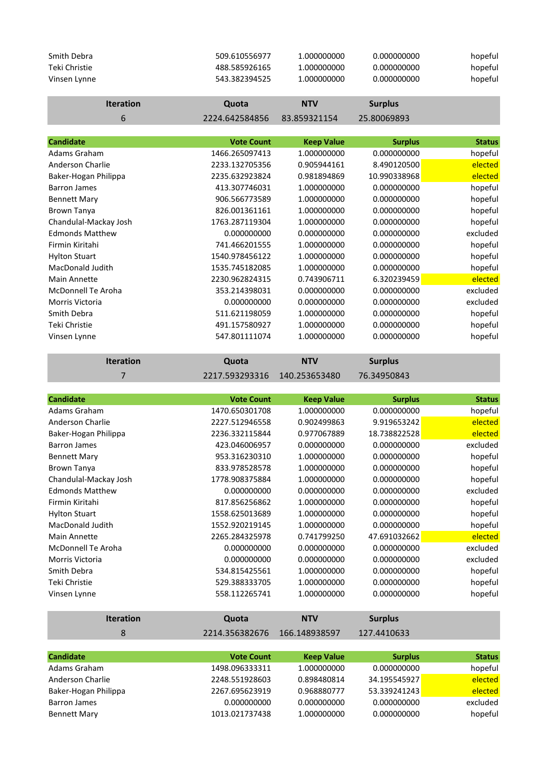| Smith Debra<br>Teki Christie                | 509.610556977<br>488.585926165   | 1.000000000<br>1.000000000       | 0.000000000<br>0.000000000  | hopeful<br>hopeful |
|---------------------------------------------|----------------------------------|----------------------------------|-----------------------------|--------------------|
| Vinsen Lynne                                | 543.382394525                    | 1.000000000                      | 0.000000000                 | hopeful            |
| <b>Iteration</b>                            | Quota                            | <b>NTV</b>                       | <b>Surplus</b>              |                    |
| 6                                           | 2224.642584856                   | 83.859321154                     | 25.80069893                 |                    |
|                                             |                                  |                                  |                             |                    |
| <b>Candidate</b>                            | <b>Vote Count</b>                | <b>Keep Value</b>                | <b>Surplus</b>              | <b>Status</b>      |
| Adams Graham                                | 1466.265097413                   | 1.000000000                      | 0.000000000                 | hopeful            |
| Anderson Charlie                            | 2233.132705356                   | 0.905944161                      | 8.490120500                 | elected            |
| Baker-Hogan Philippa                        | 2235.632923824                   | 0.981894869                      | 10.990338968                | elected            |
| <b>Barron James</b>                         | 413.307746031                    | 1.000000000                      | 0.000000000                 | hopeful            |
| <b>Bennett Mary</b>                         | 906.566773589                    | 1.000000000                      | 0.000000000                 | hopeful            |
| <b>Brown Tanya</b>                          | 826.001361161                    | 1.000000000                      | 0.000000000                 | hopeful            |
| Chandulal-Mackay Josh                       | 1763.287119304                   | 1.000000000                      | 0.000000000                 | hopeful            |
| <b>Edmonds Matthew</b>                      | 0.000000000                      | 0.000000000                      | 0.000000000                 | excluded           |
| Firmin Kiritahi                             | 741.466201555                    | 1.000000000                      | 0.000000000                 | hopeful            |
| <b>Hylton Stuart</b>                        | 1540.978456122                   | 1.000000000                      | 0.000000000                 | hopeful            |
| MacDonald Judith                            | 1535.745182085                   | 1.000000000                      | 0.000000000                 | hopeful            |
| Main Annette                                | 2230.962824315                   | 0.743906711                      | 6.320239459                 | elected            |
| <b>McDonnell Te Aroha</b>                   | 353.214398031                    | 0.000000000                      | 0.000000000                 | excluded           |
| Morris Victoria                             | 0.000000000                      | 0.000000000                      | 0.000000000                 | excluded           |
| Smith Debra                                 | 511.621198059                    | 1.000000000                      | 0.000000000                 | hopeful            |
| Teki Christie                               | 491.157580927                    | 1.000000000                      | 0.000000000                 | hopeful            |
| Vinsen Lynne                                | 547.801111074                    | 1.000000000                      | 0.000000000                 | hopeful            |
|                                             |                                  |                                  |                             |                    |
| <b>Iteration</b>                            | Quota                            | <b>NTV</b>                       | <b>Surplus</b>              |                    |
|                                             |                                  |                                  |                             |                    |
| $\overline{7}$                              | 2217.593293316                   | 140.253653480                    | 76.34950843                 |                    |
| <b>Candidate</b>                            | <b>Vote Count</b>                |                                  |                             | <b>Status</b>      |
| Adams Graham                                | 1470.650301708                   | <b>Keep Value</b><br>1.000000000 | <b>Surplus</b>              |                    |
|                                             |                                  |                                  | 0.000000000                 | hopeful            |
| Anderson Charlie                            | 2227.512946558<br>2236.332115844 | 0.902499863<br>0.977067889       | 9.919653242                 | elected            |
| Baker-Hogan Philippa<br><b>Barron James</b> |                                  |                                  | 18.738822528<br>0.000000000 | elected            |
|                                             | 423.046006957<br>953.316230310   | 0.000000000                      |                             | excluded           |
| <b>Bennett Mary</b>                         |                                  | 1.000000000<br>1.000000000       | 0.000000000                 | hopeful            |
| <b>Brown Tanya</b>                          | 833.978528578                    |                                  | 0.000000000                 | hopeful            |
| Chandulal-Mackay Josh                       | 1778.908375884                   | 1.000000000                      | 0.000000000                 | hopeful            |
| <b>Edmonds Matthew</b>                      | 0.000000000                      | 0.000000000                      | 0.000000000                 | excluded           |
| Firmin Kiritahi                             | 817.856256862                    | 1.000000000                      | 0.000000000                 | hopeful            |
| <b>Hylton Stuart</b>                        | 1558.625013689                   | 1.000000000                      | 0.000000000                 | hopeful            |
| MacDonald Judith                            | 1552.920219145                   | 1.000000000                      | 0.000000000                 | hopeful            |
| Main Annette                                | 2265.284325978                   | 0.741799250                      | 47.691032662                | elected            |
| <b>McDonnell Te Aroha</b>                   | 0.000000000                      | 0.000000000                      | 0.000000000                 | excluded           |
| Morris Victoria                             | 0.000000000                      | 0.000000000                      | 0.000000000                 | excluded           |
| Smith Debra                                 | 534.815425561                    | 1.000000000                      | 0.000000000                 | hopeful            |
| Teki Christie<br>Vinsen Lynne               | 529.388333705<br>558.112265741   | 1.000000000<br>1.000000000       | 0.000000000<br>0.000000000  | hopeful<br>hopeful |
|                                             |                                  |                                  |                             |                    |
| <b>Iteration</b>                            | Quota                            | <b>NTV</b>                       | <b>Surplus</b>              |                    |
| 8                                           | 2214.356382676                   | 166.148938597                    | 127.4410633                 |                    |
|                                             |                                  |                                  |                             |                    |
| <b>Candidate</b>                            | <b>Vote Count</b>                | <b>Keep Value</b>                | <b>Surplus</b>              | <b>Status</b>      |
| Adams Graham<br><b>Anderson Charlie</b>     | 1498.096333311<br>2248.551928603 | 1.000000000<br>0.898480814       | 0.000000000<br>34.195545927 | hopeful<br>elected |

Baker-Hogan Philippa 2267.695623919 0.968880777 53.339241243 elected Barron James 0.000000000 0.000000000 0.000000000 excluded Bennett Mary **1013.021737438** 1.000000000 1000000000 hopeful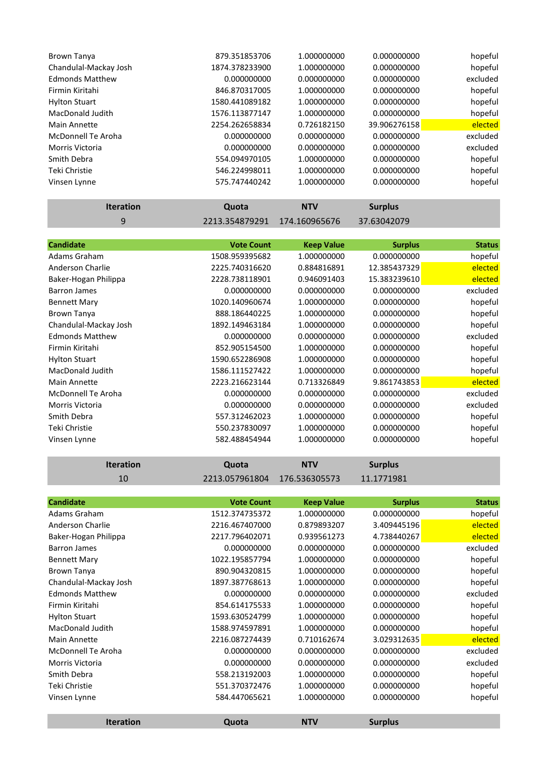| 879.351853706  | 1.000000000 | 0.000000000  | hopeful  |
|----------------|-------------|--------------|----------|
| 1874.378233900 | 1.000000000 | 0.000000000  | hopeful  |
| 0.000000000    | 0.000000000 | 0.000000000  | excluded |
| 846.870317005  | 1.000000000 | 0.000000000  | hopeful  |
| 1580.441089182 | 1.000000000 | 0.000000000  | hopeful  |
| 1576.113877147 | 1.000000000 | 0.000000000  | hopeful  |
| 2254.262658834 | 0.726182150 | 39.906276158 | elected  |
| 0.000000000    | 0.000000000 | 0.000000000  | excluded |
| 0.000000000    | 0.000000000 | 0.000000000  | excluded |
| 554.094970105  | 1.000000000 | 0.000000000  | hopeful  |
| 546.224998011  | 1.000000000 | 0.000000000  | hopeful  |
| 575.747440242  | 1.000000000 | 0.000000000  | hopeful  |
|                |             |              |          |

| <b>Iteration</b>          | Quota             | <b>NTV</b>        | <b>Surplus</b> |               |
|---------------------------|-------------------|-------------------|----------------|---------------|
| 9                         | 2213.354879291    | 174.160965676     | 37.63042079    |               |
|                           |                   |                   |                |               |
| <b>Candidate</b>          | <b>Vote Count</b> | <b>Keep Value</b> | <b>Surplus</b> | <b>Status</b> |
| Adams Graham              | 1508.959395682    | 1.000000000       | 0.000000000    | hopeful       |
| Anderson Charlie          | 2225.740316620    | 0.884816891       | 12.385437329   | elected       |
| Baker-Hogan Philippa      | 2228.738118901    | 0.946091403       | 15.383239610   | elected       |
| <b>Barron James</b>       | 0.000000000       | 0.000000000       | 0.000000000    | excluded      |
| <b>Bennett Mary</b>       | 1020.140960674    | 1.000000000       | 0.000000000    | hopeful       |
| Brown Tanya               | 888.186440225     | 1.000000000       | 0.000000000    | hopeful       |
| Chandulal-Mackay Josh     | 1892.149463184    | 1.000000000       | 0.000000000    | hopeful       |
| <b>Edmonds Matthew</b>    | 0.000000000       | 0.000000000       | 0.000000000    | excluded      |
| Firmin Kiritahi           | 852.905154500     | 1.000000000       | 0.000000000    | hopeful       |
| <b>Hylton Stuart</b>      | 1590.652286908    | 1.000000000       | 0.000000000    | hopeful       |
| MacDonald Judith          | 1586.111527422    | 1.000000000       | 0.000000000    | hopeful       |
| Main Annette              | 2223.216623144    | 0.713326849       | 9.861743853    | elected       |
| <b>McDonnell Te Aroha</b> | 0.000000000       | 0.000000000       | 0.000000000    | excluded      |
| Morris Victoria           | 0.000000000       | 0.000000000       | 0.000000000    | excluded      |
| Smith Debra               | 557.312462023     | 1.000000000       | 0.000000000    | hopeful       |
| Teki Christie             | 550.237830097     | 1.000000000       | 0.000000000    | hopeful       |
| Vinsen Lynne              | 582.488454944     | 1.000000000       | 0.000000000    | hopeful       |

| 10                        | 2213.057961804    | 176.536305573     | 11.1771981     |               |
|---------------------------|-------------------|-------------------|----------------|---------------|
|                           |                   |                   |                |               |
| <b>Candidate</b>          | <b>Vote Count</b> | <b>Keep Value</b> | <b>Surplus</b> | <b>Status</b> |
| Adams Graham              | 1512.374735372    | 1.000000000       | 0.000000000    | hopeful       |
| Anderson Charlie          | 2216.467407000    | 0.879893207       | 3.409445196    | elected       |
| Baker-Hogan Philippa      | 2217.796402071    | 0.939561273       | 4.738440267    | elected       |
| <b>Barron James</b>       | 0.000000000       | 0.000000000       | 0.000000000    | excluded      |
| <b>Bennett Mary</b>       | 1022.195857794    | 1.000000000       | 0.000000000    | hopeful       |
| <b>Brown Tanya</b>        | 890.904320815     | 1.000000000       | 0.000000000    | hopeful       |
| Chandulal-Mackay Josh     | 1897.387768613    | 1.000000000       | 0.000000000    | hopeful       |
| <b>Edmonds Matthew</b>    | 0.000000000       | 0.000000000       | 0.000000000    | excluded      |
| Firmin Kiritahi           | 854.614175533     | 1.000000000       | 0.000000000    | hopeful       |
| <b>Hylton Stuart</b>      | 1593.630524799    | 1.000000000       | 0.000000000    | hopeful       |
| MacDonald Judith          | 1588.974597891    | 1.000000000       | 0.000000000    | hopeful       |
| <b>Main Annette</b>       | 2216.087274439    | 0.710162674       | 3.029312635    | elected       |
| <b>McDonnell Te Aroha</b> | 0.000000000       | 0.000000000       | 0.000000000    | excluded      |
| Morris Victoria           | 0.000000000       | 0.000000000       | 0.000000000    | excluded      |
| Smith Debra               | 558.213192003     | 1.000000000       | 0.000000000    | hopeful       |
| Teki Christie             | 551.370372476     | 1.000000000       | 0.000000000    | hopeful       |
| Vinsen Lynne              | 584.447065621     | 1.000000000       | 0.000000000    | hopeful       |
|                           |                   |                   |                |               |
| <b>Iteration</b>          | Quota             | <b>NTV</b>        | <b>Surplus</b> |               |

**Iteration Quota NTV Surplus**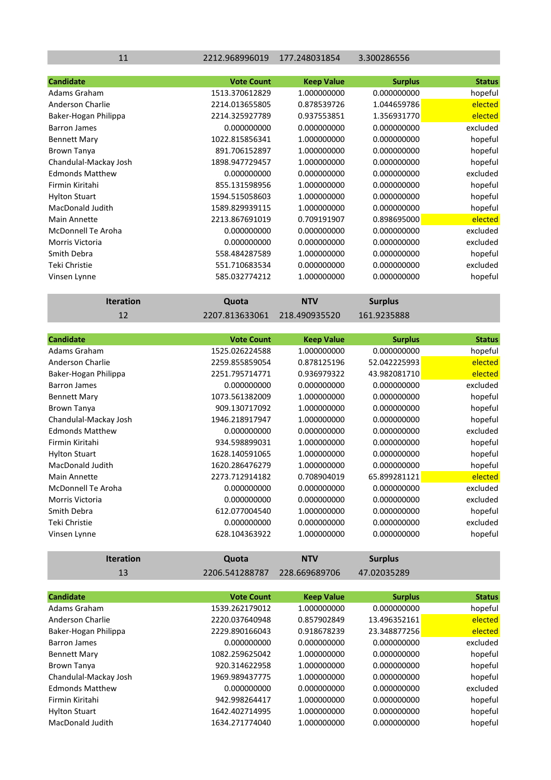11 2212.968996019 177.248031854 3.300286556

| <b>Candidate</b>          | <b>Vote Count</b> | <b>Keep Value</b> | <b>Surplus</b> | <b>Status</b>             |
|---------------------------|-------------------|-------------------|----------------|---------------------------|
| Adams Graham              | 1513.370612829    | 1.000000000       | 0.000000000    | hopeful                   |
| Anderson Charlie          | 2214.013655805    | 0.878539726       | 1.044659786    | elected                   |
| Baker-Hogan Philippa      | 2214.325927789    | 0.937553851       | 1.356931770    | elected                   |
| <b>Barron James</b>       | 0.000000000       | 0.000000000       | 0.000000000    | excluded                  |
| <b>Bennett Mary</b>       | 1022.815856341    | 1.000000000       | 0.000000000    | hopeful                   |
| <b>Brown Tanya</b>        | 891.706152897     | 1.000000000       | 0.000000000    | hopeful                   |
| Chandulal-Mackay Josh     | 1898.947729457    | 1.000000000       | 0.000000000    | hopeful                   |
| <b>Edmonds Matthew</b>    | 0.000000000       | 0.000000000       | 0.000000000    | excluded                  |
| Firmin Kiritahi           | 855.131598956     | 1.000000000       | 0.000000000    | hopeful                   |
| <b>Hylton Stuart</b>      | 1594.515058603    | 1.000000000       | 0.000000000    | hopeful                   |
| <b>MacDonald Judith</b>   | 1589.829939115    | 1.000000000       | 0.000000000    | hopeful                   |
| <b>Main Annette</b>       | 2213.867691019    | 0.709191907       | 0.898695000    | elected                   |
| <b>McDonnell Te Aroha</b> | 0.000000000       | 0.000000000       | 0.000000000    | excluded                  |
| Morris Victoria           | 0.000000000       | 0.000000000       | 0.000000000    | excluded                  |
| Smith Debra               | 558.484287589     | 1.000000000       | 0.000000000    | hopeful                   |
| Teki Christie             | 551.710683534     | 0.000000000       | 0.000000000    | excluded                  |
| Vinsen Lynne              | 585.032774212     | 1.000000000       | 0.000000000    | hopeful                   |
|                           |                   |                   |                |                           |
| <b>Iteration</b>          | Quota             | <b>NTV</b>        | <b>Surplus</b> |                           |
| 12                        | 2207.813633061    | 218.490935520     | 161.9235888    |                           |
|                           |                   |                   |                |                           |
| <b>Candidate</b>          | <b>Vote Count</b> | <b>Keep Value</b> | <b>Surplus</b> | <b>Status</b>             |
| Adams Graham              | 1525.026224588    | 1.000000000       | 0.000000000    | hopeful                   |
| Anderson Charlie          | 2259.855859054    | 0.878125196       | 52.042225993   | elected                   |
| Baker-Hogan Philippa      | 2251.795714771    | 0.936979322       | 43.982081710   | elected                   |
| <b>Barron James</b>       | 0.000000000       | 0.000000000       | 0.000000000    | excluded                  |
| <b>Bennett Mary</b>       | 1073.561382009    | 1.000000000       | 0.000000000    | hopeful                   |
| Brown Tanya               | 909.130717092     | 1.000000000       | 0.000000000    | hopeful                   |
|                           |                   |                   |                | $\mathbf{r}$ $\mathbf{r}$ |

| Chandulal-Mackay Josh  | 1946.218917947 | 1.000000000 | 0.000000000  | hopeful  |
|------------------------|----------------|-------------|--------------|----------|
| <b>Edmonds Matthew</b> | 0.000000000    | 0.000000000 | 0.000000000  | excluded |
| Firmin Kiritahi        | 934.598899031  | 1.000000000 | 0.000000000  | hopeful  |
| <b>Hylton Stuart</b>   | 1628.140591065 | 1.000000000 | 0.000000000  | hopeful  |
| MacDonald Judith       | 1620.286476279 | 1.000000000 | 0.000000000  | hopeful  |
| Main Annette           | 2273.712914182 | 0.708904019 | 65.899281121 | elected  |
| McDonnell Te Aroha     | 0.000000000    | 0.000000000 | 0.000000000  | excluded |
| Morris Victoria        | 0.000000000    | 0.000000000 | 0.000000000  | excluded |
| Smith Debra            | 612.077004540  | 1.000000000 | 0.000000000  | hopeful  |
| Teki Christie          | 0.000000000    | 0.000000000 | 0.000000000  | excluded |
| Vinsen Lynne           | 628.104363922  | 1.000000000 | 0.000000000  | hopeful  |
|                        |                |             |              |          |

| <b>Iteration</b>        | Quota             | <b>NTV</b>        | <b>Surplus</b> |               |
|-------------------------|-------------------|-------------------|----------------|---------------|
| 13                      | 2206.541288787    | 228.669689706     | 47.02035289    |               |
|                         |                   |                   |                |               |
| <b>Candidate</b>        | <b>Vote Count</b> | <b>Keep Value</b> | <b>Surplus</b> | <b>Status</b> |
| Adams Graham            | 1539.262179012    | 1.000000000       | 0.000000000    | hopeful       |
| Anderson Charlie        | 2220.037640948    | 0.857902849       | 13.496352161   | elected       |
| Baker-Hogan Philippa    | 2229.890166043    | 0.918678239       | 23.348877256   | elected       |
| Barron James            | 0.000000000       | 0.000000000       | 0.000000000    | excluded      |
| <b>Bennett Mary</b>     | 1082.259625042    | 1.000000000       | 0.000000000    | hopeful       |
| <b>Brown Tanya</b>      | 920.314622958     | 1.000000000       | 0.000000000    | hopeful       |
| Chandulal-Mackay Josh   | 1969.989437775    | 1.000000000       | 0.000000000    | hopeful       |
| <b>Edmonds Matthew</b>  | 0.000000000       | 0.000000000       | 0.000000000    | excluded      |
| Firmin Kiritahi         | 942.998264417     | 1.000000000       | 0.000000000    | hopeful       |
| <b>Hylton Stuart</b>    | 1642.402714995    | 1.000000000       | 0.000000000    | hopeful       |
| <b>MacDonald Judith</b> | 1634.271774040    | 1.000000000       | 0.000000000    | hopeful       |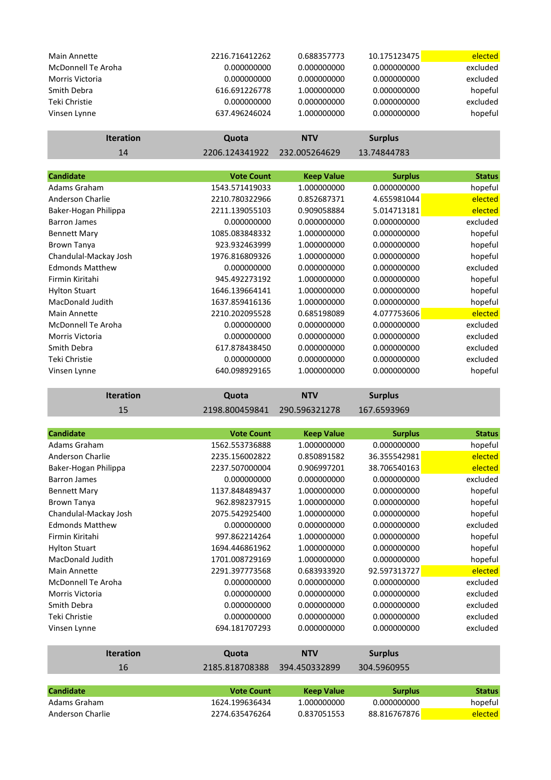| Main Annette       | 2216.716412262 | 0.688357773   | 10.175123475   | elected  |
|--------------------|----------------|---------------|----------------|----------|
| McDonnell Te Aroha | 0.000000000    | 0.000000000   | 0.000000000    | excluded |
| Morris Victoria    | 0.000000000    | 0.000000000   | 0.000000000    | excluded |
| Smith Debra        | 616.691226778  | 1.000000000   | 0.000000000    | hopeful  |
| Teki Christie      | 0.000000000    | 0.000000000   | 0.000000000    | excluded |
| Vinsen Lynne       | 637.496246024  | 1.000000000   | 0.000000000    | hopeful  |
| <b>Iteration</b>   | Quota          | <b>NTV</b>    | <b>Surplus</b> |          |
| 14                 | 2206.124341922 | 232.005264629 | 13.74844783    |          |

| <b>Candidate</b>          | <b>Vote Count</b> | <b>Keep Value</b> | <b>Surplus</b> | <b>Status</b> |
|---------------------------|-------------------|-------------------|----------------|---------------|
| Adams Graham              | 1543.571419033    | 1.000000000       | 0.000000000    | hopeful       |
| Anderson Charlie          | 2210.780322966    | 0.852687371       | 4.655981044    | elected       |
| Baker-Hogan Philippa      | 2211.139055103    | 0.909058884       | 5.014713181    | elected       |
| <b>Barron James</b>       | 0.000000000       | 0.000000000       | 0.000000000    | excluded      |
| <b>Bennett Mary</b>       | 1085.083848332    | 1.000000000       | 0.000000000    | hopeful       |
| Brown Tanya               | 923.932463999     | 1.000000000       | 0.000000000    | hopeful       |
| Chandulal-Mackay Josh     | 1976.816809326    | 1.000000000       | 0.000000000    | hopeful       |
| <b>Edmonds Matthew</b>    | 0.000000000       | 0.000000000       | 0.000000000    | excluded      |
| Firmin Kiritahi           | 945.492273192     | 1.000000000       | 0.000000000    | hopeful       |
| <b>Hylton Stuart</b>      | 1646.139664141    | 1.000000000       | 0.000000000    | hopeful       |
| MacDonald Judith          | 1637.859416136    | 1.000000000       | 0.000000000    | hopeful       |
| <b>Main Annette</b>       | 2210.202095528    | 0.685198089       | 4.077753606    | elected       |
| <b>McDonnell Te Aroha</b> | 0.000000000       | 0.000000000       | 0.000000000    | excluded      |
| Morris Victoria           | 0.000000000       | 0.000000000       | 0.000000000    | excluded      |
| Smith Debra               | 617.878438450     | 0.000000000       | 0.000000000    | excluded      |
| Teki Christie             | 0.000000000       | 0.000000000       | 0.000000000    | excluded      |
| Vinsen Lynne              | 640.098929165     | 1.000000000       | 0.000000000    | hopeful       |

| <b>Iteration</b> | Quota                        | <b>NTV</b> | <b>Surplus</b> |
|------------------|------------------------------|------------|----------------|
| 15               | 2198.800459841 290.596321278 |            | 167.6593969    |

| <b>Candidate</b>          | <b>Vote Count</b> | <b>Keep Value</b> | <b>Surplus</b> | <b>Status</b> |
|---------------------------|-------------------|-------------------|----------------|---------------|
| Adams Graham              | 1562.553736888    | 1.000000000       | 0.000000000    | hopeful       |
| Anderson Charlie          | 2235.156002822    | 0.850891582       | 36.355542981   | elected       |
| Baker-Hogan Philippa      | 2237.507000004    | 0.906997201       | 38.706540163   | elected       |
| <b>Barron James</b>       | 0.000000000       | 0.000000000       | 0.000000000    | excluded      |
| <b>Bennett Mary</b>       | 1137.848489437    | 1.000000000       | 0.000000000    | hopeful       |
| <b>Brown Tanya</b>        | 962.898237915     | 1.000000000       | 0.000000000    | hopeful       |
| Chandulal-Mackay Josh     | 2075.542925400    | 1.000000000       | 0.000000000    | hopeful       |
| <b>Edmonds Matthew</b>    | 0.000000000       | 0.000000000       | 0.000000000    | excluded      |
| Firmin Kiritahi           | 997.862214264     | 1.000000000       | 0.000000000    | hopeful       |
| <b>Hylton Stuart</b>      | 1694.446861962    | 1.000000000       | 0.000000000    | hopeful       |
| <b>MacDonald Judith</b>   | 1701.008729169    | 1.000000000       | 0.000000000    | hopeful       |
| <b>Main Annette</b>       | 2291.397773568    | 0.683933920       | 92.597313727   | elected       |
| <b>McDonnell Te Aroha</b> | 0.000000000       | 0.000000000       | 0.000000000    | excluded      |
| Morris Victoria           | 0.000000000       | 0.000000000       | 0.000000000    | excluded      |
| Smith Debra               | 0.000000000       | 0.000000000       | 0.000000000    | excluded      |
| Teki Christie             | 0.000000000       | 0.000000000       | 0.000000000    | excluded      |
| Vinsen Lynne              | 694.181707293     | 0.000000000       | 0.000000000    | excluded      |
| <b>Iteration</b>          | Quota             | <b>NTV</b>        | <b>Surplus</b> |               |
| 16                        | 2185.818708388    | 394.450332899     | 304.5960955    |               |
|                           |                   |                   |                |               |
| <b>Candidate</b>          | <b>Vote Count</b> | <b>Keep Value</b> | <b>Surplus</b> | <b>Status</b> |
| Adams Graham              | 1624.199636434    | 1.000000000       | 0.000000000    | hopeful       |

Anderson Charlie 2274.635476264 0.837051553 88.816767876 elected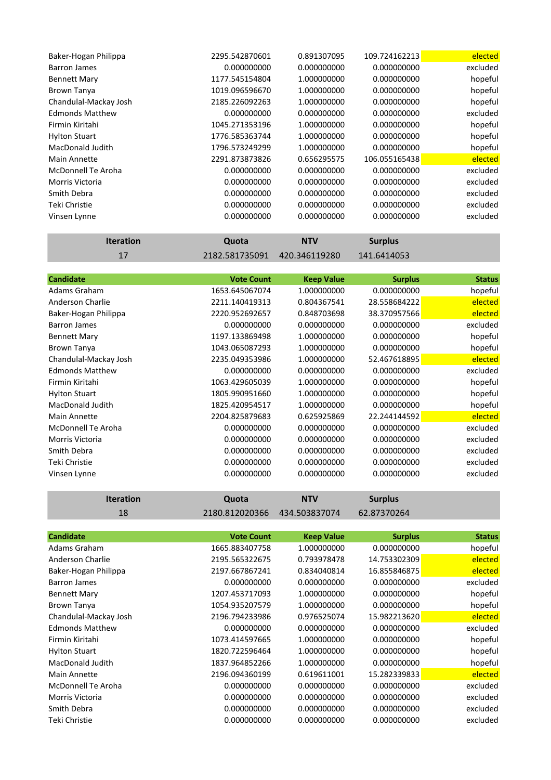| Baker-Hogan Philippa    | 2295.542870601 | 0.891307095 | 109.724162213 | elected  |
|-------------------------|----------------|-------------|---------------|----------|
| Barron James            | 0.000000000    | 0.000000000 | 0.000000000   | excluded |
| <b>Bennett Mary</b>     | 1177.545154804 | 1.000000000 | 0.000000000   | hopeful  |
| Brown Tanya             | 1019.096596670 | 1.000000000 | 0.000000000   | hopeful  |
| Chandulal-Mackay Josh   | 2185.226092263 | 1.000000000 | 0.000000000   | hopeful  |
| <b>Edmonds Matthew</b>  | 0.000000000    | 0.000000000 | 0.000000000   | excluded |
| Firmin Kiritahi         | 1045.271353196 | 1.000000000 | 0.000000000   | hopeful  |
| <b>Hylton Stuart</b>    | 1776.585363744 | 1.000000000 | 0.000000000   | hopeful  |
| <b>MacDonald Judith</b> | 1796.573249299 | 1.000000000 | 0.000000000   | hopeful  |
| <b>Main Annette</b>     | 2291.873873826 | 0.656295575 | 106.055165438 | elected  |
| McDonnell Te Aroha      | 0.000000000    | 0.000000000 | 0.000000000   | excluded |
| <b>Morris Victoria</b>  | 0.000000000    | 0.000000000 | 0.000000000   | excluded |
| Smith Debra             | 0.000000000    | 0.000000000 | 0.000000000   | excluded |
| Teki Christie           | 0.000000000    | 0.000000000 | 0.000000000   | excluded |
| Vinsen Lynne            | 0.000000000    | 0.000000000 | 0.000000000   | excluded |

| <b>Iteration</b> | Quota | <b>NTV</b>                   | <b>Surplus</b> |
|------------------|-------|------------------------------|----------------|
|                  |       | 2182.581735091 420.346119280 | 141.6414053    |

|                |                   |                   | <b>Status</b>  |
|----------------|-------------------|-------------------|----------------|
| 1653.645067074 | 1.000000000       | 0.000000000       | hopeful        |
| 2211.140419313 | 0.804367541       | 28.558684222      | elected        |
| 2220.952692657 | 0.848703698       | 38.370957566      | elected        |
| 0.000000000    | 0.000000000       | 0.000000000       | excluded       |
| 1197.133869498 | 1.000000000       | 0.000000000       | hopeful        |
| 1043.065087293 | 1.000000000       | 0.000000000       | hopeful        |
| 2235.049353986 | 1.000000000       | 52.467618895      | elected        |
| 0.000000000    | 0.000000000       | 0.000000000       | excluded       |
| 1063.429605039 | 1.000000000       | 0.000000000       | hopeful        |
| 1805.990951660 | 1.000000000       | 0.000000000       | hopeful        |
| 1825.420954517 | 1.000000000       | 0.000000000       | hopeful        |
| 2204.825879683 | 0.625925869       | 22.244144592      | elected        |
| 0.000000000    | 0.000000000       | 0.000000000       | excluded       |
| 0.000000000    | 0.000000000       | 0.000000000       | excluded       |
| 0.000000000    | 0.000000000       | 0.000000000       | excluded       |
| 0.000000000    | 0.000000000       | 0.000000000       | excluded       |
| 0.000000000    | 0.000000000       | 0.000000000       | excluded       |
|                | <b>Vote Count</b> | <b>Keep Value</b> | <b>Surplus</b> |

| <b>Iteration</b> | Quota                        | <b>NTV</b> | <b>Surplus</b> |
|------------------|------------------------------|------------|----------------|
| 18               | 2180.812020366 434.503837074 |            | 62.87370264    |

| <b>Candidate</b>       | <b>Vote Count</b> | <b>Keep Value</b> | <b>Surplus</b> | <b>Status</b> |
|------------------------|-------------------|-------------------|----------------|---------------|
| Adams Graham           | 1665.883407758    | 1.000000000       | 0.000000000    | hopeful       |
| Anderson Charlie       | 2195.565322675    | 0.793978478       | 14.753302309   | elected       |
| Baker-Hogan Philippa   | 2197.667867241    | 0.834040814       | 16.855846875   | elected       |
| Barron James           | 0.000000000       | 0.000000000       | 0.000000000    | excluded      |
| <b>Bennett Mary</b>    | 1207.453717093    | 1.000000000       | 0.000000000    | hopeful       |
| <b>Brown Tanya</b>     | 1054.935207579    | 1.000000000       | 0.000000000    | hopeful       |
| Chandulal-Mackay Josh  | 2196.794233986    | 0.976525074       | 15.982213620   | elected       |
| <b>Edmonds Matthew</b> | 0.000000000       | 0.000000000       | 0.000000000    | excluded      |
| Firmin Kiritahi        | 1073.414597665    | 1.000000000       | 0.000000000    | hopeful       |
| <b>Hylton Stuart</b>   | 1820.722596464    | 1.000000000       | 0.000000000    | hopeful       |
| MacDonald Judith       | 1837.964852266    | 1.000000000       | 0.000000000    | hopeful       |
| Main Annette           | 2196.094360199    | 0.619611001       | 15.282339833   | elected       |
| McDonnell Te Aroha     | 0.000000000       | 0.000000000       | 0.000000000    | excluded      |
| <b>Morris Victoria</b> | 0.000000000       | 0.000000000       | 0.000000000    | excluded      |
| Smith Debra            | 0.000000000       | 0.000000000       | 0.000000000    | excluded      |
| Teki Christie          | 0.000000000       | 0.000000000       | 0.000000000    | excluded      |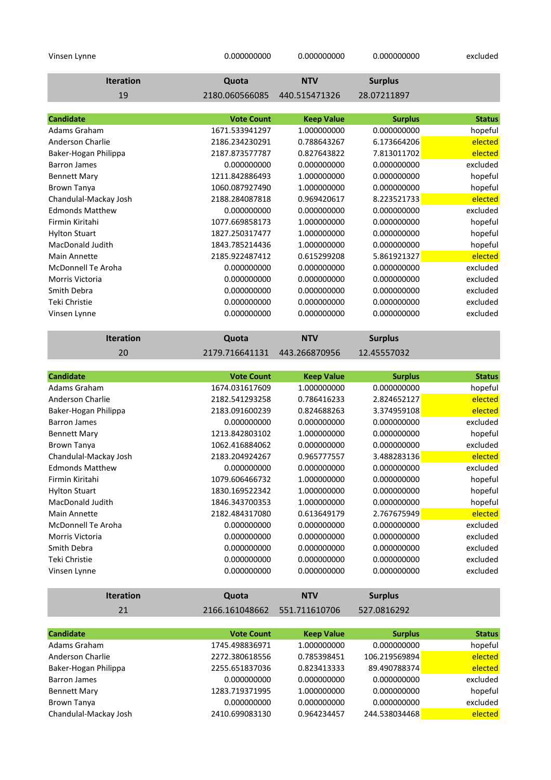| Vinsen Lynne                     | 0.000000000                         | 0.000000000                      | 0.000000000                   | excluded                 |
|----------------------------------|-------------------------------------|----------------------------------|-------------------------------|--------------------------|
| <b>Iteration</b>                 | Quota                               | <b>NTV</b>                       | <b>Surplus</b>                |                          |
| 19                               | 2180.060566085                      | 440.515471326                    | 28.07211897                   |                          |
|                                  |                                     |                                  |                               |                          |
| <b>Candidate</b>                 | <b>Vote Count</b>                   | <b>Keep Value</b>                | <b>Surplus</b>                | <b>Status</b>            |
| Adams Graham                     | 1671.533941297                      | 1.000000000                      | 0.000000000                   | hopeful                  |
| Anderson Charlie                 | 2186.234230291                      | 0.788643267                      | 6.173664206                   | elected                  |
| Baker-Hogan Philippa             | 2187.873577787                      | 0.827643822                      | 7.813011702                   | elected                  |
| <b>Barron James</b>              | 0.000000000                         | 0.000000000                      | 0.000000000                   | excluded                 |
| <b>Bennett Mary</b>              | 1211.842886493                      | 1.000000000                      | 0.000000000                   | hopeful                  |
| <b>Brown Tanya</b>               | 1060.087927490                      | 1.000000000                      | 0.000000000                   | hopeful                  |
| Chandulal-Mackay Josh            | 2188.284087818                      | 0.969420617                      | 8.223521733                   | elected                  |
| <b>Edmonds Matthew</b>           | 0.000000000                         | 0.000000000                      | 0.000000000                   | excluded                 |
| Firmin Kiritahi                  | 1077.669858173                      | 1.000000000                      | 0.000000000                   | hopeful                  |
| <b>Hylton Stuart</b>             | 1827.250317477                      | 1.000000000                      | 0.000000000                   | hopeful                  |
| MacDonald Judith                 | 1843.785214436                      | 1.000000000                      | 0.000000000                   | hopeful                  |
| <b>Main Annette</b>              | 2185.922487412                      | 0.615299208                      | 5.861921327                   | elected                  |
| <b>McDonnell Te Aroha</b>        | 0.000000000                         | 0.000000000                      | 0.000000000                   | excluded                 |
| Morris Victoria                  | 0.000000000                         | 0.000000000                      | 0.000000000                   | excluded                 |
| Smith Debra                      | 0.000000000                         | 0.000000000                      | 0.000000000                   | excluded                 |
| <b>Teki Christie</b>             | 0.000000000                         | 0.000000000                      | 0.000000000                   | excluded                 |
| Vinsen Lynne                     | 0.000000000                         | 0.000000000                      | 0.000000000                   | excluded                 |
|                                  |                                     |                                  |                               |                          |
| <b>Iteration</b>                 | Quota                               | <b>NTV</b>                       | <b>Surplus</b>                |                          |
| 20                               | 2179.716641131                      | 443.266870956                    | 12.45557032                   |                          |
|                                  |                                     |                                  |                               |                          |
|                                  |                                     |                                  |                               |                          |
| <b>Candidate</b>                 | <b>Vote Count</b>                   |                                  |                               | <b>Status</b>            |
| Adams Graham                     | 1674.031617609                      | <b>Keep Value</b><br>1.000000000 | <b>Surplus</b><br>0.000000000 | hopeful                  |
| <b>Anderson Charlie</b>          | 2182.541293258                      | 0.786416233                      | 2.824652127                   | elected                  |
| Baker-Hogan Philippa             | 2183.091600239                      | 0.824688263                      | 3.374959108                   | elected                  |
| <b>Barron James</b>              | 0.000000000                         | 0.000000000                      | 0.000000000                   | excluded                 |
| <b>Bennett Mary</b>              | 1213.842803102                      | 1.000000000                      | 0.000000000                   | hopeful                  |
| <b>Brown Tanya</b>               | 1062.416884062                      | 0.000000000                      | 0.000000000                   | excluded                 |
| Chandulal-Mackay Josh            | 2183.204924267                      | 0.965777557                      | 3.488283136                   | elected                  |
| <b>Edmonds Matthew</b>           | 0.000000000                         | 0.000000000                      | 0.000000000                   | excluded                 |
| Firmin Kiritahi                  | 1079.606466732                      | 1.000000000                      | 0.000000000                   | hopeful                  |
| <b>Hylton Stuart</b>             | 1830.169522342                      | 1.000000000                      | 0.000000000                   | hopeful                  |
| <b>MacDonald Judith</b>          | 1846.343700353                      | 1.000000000                      | 0.000000000                   | hopeful                  |
| <b>Main Annette</b>              | 2182.484317080                      | 0.613649179                      | 2.767675949                   | elected                  |
| <b>McDonnell Te Aroha</b>        | 0.000000000                         | 0.000000000                      | 0.000000000                   | excluded                 |
| Morris Victoria                  | 0.000000000                         | 0.000000000                      | 0.000000000                   | excluded                 |
| Smith Debra                      | 0.000000000                         | 0.000000000                      | 0.000000000                   | excluded                 |
| Teki Christie                    | 0.000000000                         | 0.000000000                      | 0.000000000                   | excluded                 |
| Vinsen Lynne                     | 0.000000000                         | 0.000000000                      | 0.000000000                   | excluded                 |
| <b>Iteration</b>                 |                                     | <b>NTV</b>                       |                               |                          |
|                                  | Quota                               |                                  | <b>Surplus</b>                |                          |
| 21                               | 2166.161048662                      | 551.711610706                    | 527.0816292                   |                          |
|                                  |                                     |                                  |                               |                          |
| <b>Candidate</b><br>Adams Graham | <b>Vote Count</b><br>1745.498836971 | <b>Keep Value</b><br>1.000000000 | <b>Surplus</b><br>0.000000000 | <b>Status</b><br>hopeful |

| Audilis Grandin       | 1745.490050971 | 1.UUUUUUUUU | <u>U.UUUUUUUU</u> | <b>HOPEINI</b> |
|-----------------------|----------------|-------------|-------------------|----------------|
| Anderson Charlie      | 2272.380618556 | 0.785398451 | 106.219569894     | <b>elected</b> |
| Baker-Hogan Philippa  | 2255.651837036 | 0.823413333 | 89.490788374      | elected        |
| <b>Barron James</b>   | 0.000000000    | 0.000000000 | 0.000000000       | excluded       |
| <b>Bennett Mary</b>   | 1283.719371995 | 1.000000000 | 0.000000000       | hopeful        |
| Brown Tanya           | 0.000000000    | 0.000000000 | 0.000000000       | excluded       |
| Chandulal-Mackay Josh | 2410.699083130 | 0.964234457 | 244.538034468     | elected        |
|                       |                |             |                   |                |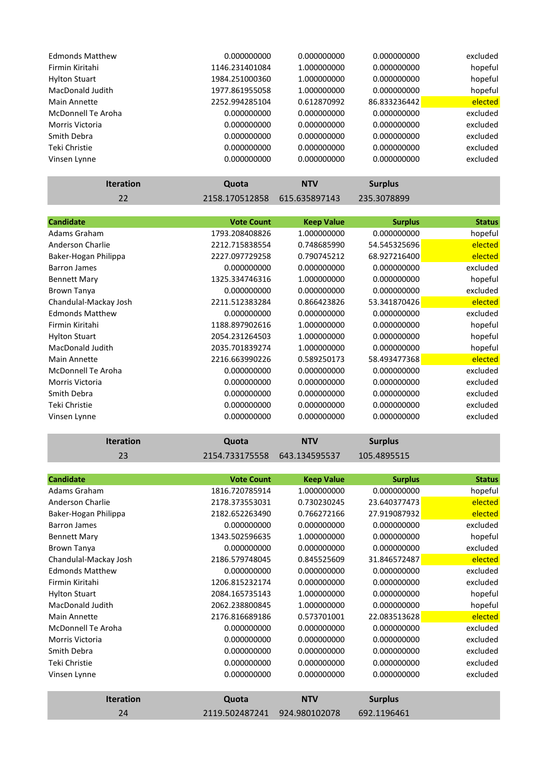| <b>Edmonds Matthew</b> | 0.000000000    | 0.000000000 | 0.000000000  | excluded |
|------------------------|----------------|-------------|--------------|----------|
| Firmin Kiritahi        | 1146.231401084 | 1.000000000 | 0.000000000  | hopeful  |
| <b>Hylton Stuart</b>   | 1984.251000360 | 1.000000000 | 0.000000000  | hopeful  |
| MacDonald Judith       | 1977.861955058 | 1.000000000 | 0.000000000  | hopeful  |
| Main Annette           | 2252.994285104 | 0.612870992 | 86.833236442 | elected  |
| McDonnell Te Aroha     | 0.000000000    | 0.000000000 | 0.000000000  | excluded |
| Morris Victoria        | 0.000000000    | 0.000000000 | 0.000000000  | excluded |
| Smith Debra            | 0.000000000    | 0.000000000 | 0.000000000  | excluded |
| Teki Christie          | 0.000000000    | 0.000000000 | 0.000000000  | excluded |
| Vinsen Lynne           | 0.000000000    | 0.000000000 | 0.000000000  | excluded |
|                        |                |             |              |          |

| <b>Iteration</b>          | Quota             | <b>NTV</b>        | <b>Surplus</b> |               |
|---------------------------|-------------------|-------------------|----------------|---------------|
| 22                        | 2158.170512858    | 615.635897143     | 235.3078899    |               |
|                           |                   |                   |                |               |
| <b>Candidate</b>          | <b>Vote Count</b> | <b>Keep Value</b> | <b>Surplus</b> | <b>Status</b> |
| Adams Graham              | 1793.208408826    | 1.000000000       | 0.000000000    | hopeful       |
| Anderson Charlie          | 2212.715838554    | 0.748685990       | 54.545325696   | elected       |
| Baker-Hogan Philippa      | 2227.097729258    | 0.790745212       | 68.927216400   | elected       |
| <b>Barron James</b>       | 0.000000000       | 0.000000000       | 0.000000000    | excluded      |
| <b>Bennett Mary</b>       | 1325.334746316    | 1.000000000       | 0.000000000    | hopeful       |
| <b>Brown Tanya</b>        | 0.000000000       | 0.000000000       | 0.000000000    | excluded      |
| Chandulal-Mackay Josh     | 2211.512383284    | 0.866423826       | 53.341870426   | elected       |
| <b>Edmonds Matthew</b>    | 0.000000000       | 0.000000000       | 0.000000000    | excluded      |
| Firmin Kiritahi           | 1188.897902616    | 1.000000000       | 0.000000000    | hopeful       |
| <b>Hylton Stuart</b>      | 2054.231264503    | 1.000000000       | 0.000000000    | hopeful       |
| MacDonald Judith          | 2035.701839274    | 1.000000000       | 0.000000000    | hopeful       |
| Main Annette              | 2216.663990226    | 0.589250173       | 58.493477368   | elected       |
| <b>McDonnell Te Aroha</b> | 0.000000000       | 0.000000000       | 0.000000000    | excluded      |
| <b>Morris Victoria</b>    | 0.000000000       | 0.000000000       | 0.000000000    | excluded      |
| Smith Debra               | 0.000000000       | 0.000000000       | 0.000000000    | excluded      |
| Teki Christie             | 0.000000000       | 0.000000000       | 0.000000000    | excluded      |
| Vinsen Lynne              | 0.000000000       | 0.000000000       | 0.000000000    | excluded      |

and the control of the control of the control of

a sa kacamatan ing Kabupatèn Kabupatèn Ing

and the control of the control of the control of the control of the control of

п

| <b>Iteration</b>          | Quota             | <b>NTV</b>        | <b>Surplus</b> |               |
|---------------------------|-------------------|-------------------|----------------|---------------|
| 23                        | 2154.733175558    | 643.134595537     | 105.4895515    |               |
|                           |                   |                   |                |               |
| <b>Candidate</b>          | <b>Vote Count</b> | <b>Keep Value</b> | <b>Surplus</b> | <b>Status</b> |
| Adams Graham              | 1816.720785914    | 1.000000000       | 0.000000000    | hopeful       |
| Anderson Charlie          | 2178.373553031    | 0.730230245       | 23.640377473   | elected       |
| Baker-Hogan Philippa      | 2182.652263490    | 0.766272166       | 27.919087932   | elected       |
| <b>Barron James</b>       | 0.000000000       | 0.000000000       | 0.000000000    | excluded      |
| <b>Bennett Mary</b>       | 1343.502596635    | 1.000000000       | 0.000000000    | hopeful       |
| Brown Tanya               | 0.000000000       | 0.000000000       | 0.000000000    | excluded      |
| Chandulal-Mackay Josh     | 2186.579748045    | 0.845525609       | 31.846572487   | elected       |
| <b>Edmonds Matthew</b>    | 0.000000000       | 0.000000000       | 0.000000000    | excluded      |
| Firmin Kiritahi           | 1206.815232174    | 0.000000000       | 0.000000000    | excluded      |
| <b>Hylton Stuart</b>      | 2084.165735143    | 1.000000000       | 0.000000000    | hopeful       |
| <b>MacDonald Judith</b>   | 2062.238800845    | 1.000000000       | 0.000000000    | hopeful       |
| <b>Main Annette</b>       | 2176.816689186    | 0.573701001       | 22.083513628   | elected       |
| <b>McDonnell Te Aroha</b> | 0.000000000       | 0.000000000       | 0.000000000    | excluded      |
| <b>Morris Victoria</b>    | 0.000000000       | 0.000000000       | 0.000000000    | excluded      |
| Smith Debra               | 0.000000000       | 0.000000000       | 0.000000000    | excluded      |
| Teki Christie             | 0.000000000       | 0.000000000       | 0.000000000    | excluded      |
| Vinsen Lynne              | 0.000000000       | 0.000000000       | 0.000000000    | excluded      |
|                           |                   |                   |                |               |
| <b>Iteration</b>          | Quota             | <b>NTV</b>        | <b>Surplus</b> |               |
| 24                        | 2119.502487241    | 924.980102078     | 692.1196461    |               |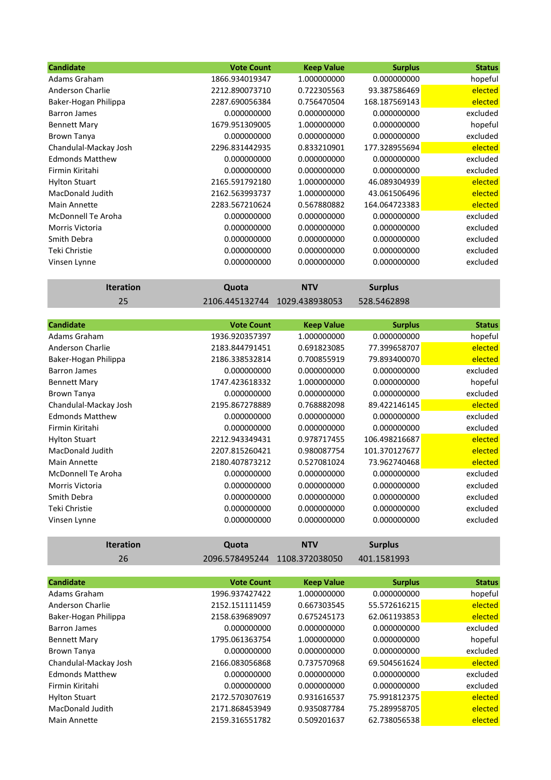| <b>Candidate</b>          | <b>Vote Count</b> | <b>Keep Value</b> | <b>Surplus</b> | <b>Status</b> |
|---------------------------|-------------------|-------------------|----------------|---------------|
| Adams Graham              | 1866.934019347    | 1.000000000       | 0.000000000    | hopeful       |
| Anderson Charlie          | 2212.890073710    | 0.722305563       | 93.387586469   | elected       |
| Baker-Hogan Philippa      | 2287.690056384    | 0.756470504       | 168.187569143  | elected       |
| <b>Barron James</b>       | 0.000000000       | 0.000000000       | 0.000000000    | excluded      |
| <b>Bennett Mary</b>       | 1679.951309005    | 1.000000000       | 0.000000000    | hopeful       |
| <b>Brown Tanya</b>        | 0.000000000       | 0.000000000       | 0.000000000    | excluded      |
| Chandulal-Mackay Josh     | 2296.831442935    | 0.833210901       | 177.328955694  | elected       |
| <b>Edmonds Matthew</b>    | 0.000000000       | 0.000000000       | 0.000000000    | excluded      |
| Firmin Kiritahi           | 0.000000000       | 0.000000000       | 0.000000000    | excluded      |
| <b>Hylton Stuart</b>      | 2165.591792180    | 1.000000000       | 46.089304939   | elected       |
| MacDonald Judith          | 2162.563993737    | 1.000000000       | 43.061506496   | elected       |
| Main Annette              | 2283.567210624    | 0.567880882       | 164.064723383  | elected       |
| <b>McDonnell Te Aroha</b> | 0.000000000       | 0.000000000       | 0.000000000    | excluded      |
| Morris Victoria           | 0.000000000       | 0.000000000       | 0.000000000    | excluded      |
| Smith Debra               | 0.000000000       | 0.000000000       | 0.000000000    | excluded      |
| Teki Christie             | 0.000000000       | 0.000000000       | 0.000000000    | excluded      |
| Vinsen Lynne              | 0.000000000       | 0.000000000       | 0.000000000    | excluded      |

**Iteration Quota NTV Surplus** 25 2106.445132744 1029.438938053 528.5462898

| <b>Candidate</b>       | <b>Vote Count</b> | <b>Keep Value</b> | <b>Surplus</b> | <b>Status</b> |
|------------------------|-------------------|-------------------|----------------|---------------|
| Adams Graham           | 1936.920357397    | 1.000000000       | 0.000000000    | hopeful       |
| Anderson Charlie       | 2183.844791451    | 0.691823085       | 77.399658707   | elected       |
| Baker-Hogan Philippa   | 2186.338532814    | 0.700855919       | 79.893400070   | elected       |
| Barron James           | 0.000000000       | 0.000000000       | 0.000000000    | excluded      |
| <b>Bennett Mary</b>    | 1747.423618332    | 1.000000000       | 0.000000000    | hopeful       |
| <b>Brown Tanya</b>     | 0.000000000       | 0.000000000       | 0.000000000    | excluded      |
| Chandulal-Mackay Josh  | 2195.867278889    | 0.768882098       | 89.422146145   | elected       |
| <b>Edmonds Matthew</b> | 0.000000000       | 0.000000000       | 0.000000000    | excluded      |
| Firmin Kiritahi        | 0.000000000       | 0.000000000       | 0.000000000    | excluded      |
| <b>Hylton Stuart</b>   | 2212.943349431    | 0.978717455       | 106.498216687  | elected       |
| MacDonald Judith       | 2207.815260421    | 0.980087754       | 101.370127677  | elected       |
| <b>Main Annette</b>    | 2180.407873212    | 0.527081024       | 73.962740468   | elected       |
| McDonnell Te Aroha     | 0.000000000       | 0.000000000       | 0.000000000    | excluded      |
| Morris Victoria        | 0.000000000       | 0.000000000       | 0.000000000    | excluded      |
| Smith Debra            | 0.000000000       | 0.000000000       | 0.000000000    | excluded      |
| Teki Christie          | 0.000000000       | 0.000000000       | 0.000000000    | excluded      |
| Vinsen Lynne           | 0.000000000       | 0.000000000       | 0.000000000    | excluded      |

**Iteration Quota NTV Surplus** 26 2096.578495244 1108.372038050 401.1581993

| <b>Candidate</b>       | <b>Vote Count</b> | <b>Keep Value</b> | <b>Surplus</b> | <b>Status</b> |
|------------------------|-------------------|-------------------|----------------|---------------|
| Adams Graham           | 1996.937427422    | 1.000000000       | 0.000000000    | hopeful       |
| Anderson Charlie       | 2152.151111459    | 0.667303545       | 55.572616215   | elected       |
| Baker-Hogan Philippa   | 2158.639689097    | 0.675245173       | 62.061193853   | elected       |
| <b>Barron James</b>    | 0.000000000       | 0.000000000       | 0.000000000    | excluded      |
| <b>Bennett Mary</b>    | 1795.061363754    | 1.000000000       | 0.000000000    | hopeful       |
| <b>Brown Tanya</b>     | 0.000000000       | 0.000000000       | 0.000000000    | excluded      |
| Chandulal-Mackay Josh  | 2166.083056868    | 0.737570968       | 69.504561624   | elected       |
| <b>Edmonds Matthew</b> | 0.000000000       | 0.000000000       | 0.000000000    | excluded      |
| Firmin Kiritahi        | 0.000000000       | 0.000000000       | 0.000000000    | excluded      |
| <b>Hylton Stuart</b>   | 2172.570307619    | 0.931616537       | 75.991812375   | elected       |
| MacDonald Judith       | 2171.868453949    | 0.935087784       | 75.289958705   | elected       |
| Main Annette           | 2159.316551782    | 0.509201637       | 62.738056538   | elected       |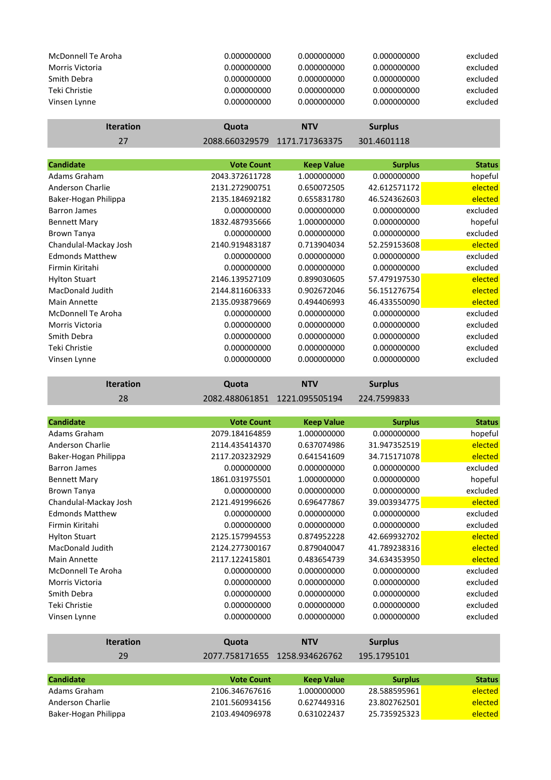| <b>McDonnell Te Aroha</b><br>Morris Victoria<br>Smith Debra<br>Teki Christie<br>Vinsen Lynne | 0.000000000<br>0.000000000<br>0.000000000<br>0.000000000<br>0.000000000 | 0.000000000<br>0.000000000<br>0.000000000<br>0.000000000<br>0.000000000 | 0.000000000<br>0.000000000<br>0.000000000<br>0.000000000<br>0.000000000 | excluded<br>excluded<br>excluded<br>excluded<br>excluded |
|----------------------------------------------------------------------------------------------|-------------------------------------------------------------------------|-------------------------------------------------------------------------|-------------------------------------------------------------------------|----------------------------------------------------------|
| <b>Iteration</b>                                                                             | Quota                                                                   | <b>NTV</b>                                                              | <b>Surplus</b>                                                          |                                                          |
| 27                                                                                           | 2088.660329579                                                          | 1171.717363375                                                          | 301.4601118                                                             |                                                          |
|                                                                                              |                                                                         |                                                                         |                                                                         |                                                          |
| <b>Candidate</b>                                                                             | <b>Vote Count</b>                                                       | <b>Keep Value</b>                                                       | <b>Surplus</b>                                                          | <b>Status</b>                                            |
| Adams Graham                                                                                 | 2043.372611728                                                          | 1.000000000                                                             | 0.000000000                                                             | hopeful                                                  |
| Anderson Charlie                                                                             | 2131.272900751                                                          | 0.650072505                                                             | 42.612571172                                                            | elected                                                  |
| Baker-Hogan Philippa                                                                         | 2135.184692182                                                          | 0.655831780                                                             | 46.524362603                                                            | elected                                                  |
| <b>Barron James</b>                                                                          | 0.000000000                                                             | 0.000000000                                                             | 0.000000000                                                             | excluded                                                 |
| <b>Bennett Mary</b>                                                                          | 1832.487935666                                                          | 1.000000000                                                             | 0.000000000                                                             | hopeful                                                  |
| <b>Brown Tanya</b>                                                                           | 0.000000000                                                             | 0.000000000                                                             | 0.000000000                                                             | excluded                                                 |
| Chandulal-Mackay Josh                                                                        | 2140.919483187                                                          | 0.713904034                                                             | 52.259153608                                                            | elected                                                  |
| <b>Edmonds Matthew</b>                                                                       | 0.000000000                                                             | 0.000000000                                                             | 0.000000000                                                             | excluded                                                 |
| Firmin Kiritahi                                                                              | 0.000000000                                                             | 0.000000000                                                             | 0.000000000                                                             | excluded                                                 |
| <b>Hylton Stuart</b>                                                                         | 2146.139527109                                                          | 0.899030605                                                             | 57.479197530                                                            | elected                                                  |
| MacDonald Judith                                                                             | 2144.811606333                                                          | 0.902672046                                                             | 56.151276754                                                            | elected                                                  |
| Main Annette                                                                                 | 2135.093879669                                                          | 0.494406993                                                             | 46.433550090                                                            | elected                                                  |
| <b>McDonnell Te Aroha</b>                                                                    | 0.000000000                                                             | 0.000000000                                                             | 0.000000000                                                             | excluded                                                 |
| Morris Victoria                                                                              | 0.000000000                                                             | 0.000000000                                                             | 0.000000000                                                             | excluded                                                 |
| Smith Debra                                                                                  | 0.000000000                                                             | 0.000000000                                                             | 0.000000000                                                             | excluded                                                 |

| <b>Iteration</b> | Quota | <b>NTV</b>                                  | <b>Surplus</b> |
|------------------|-------|---------------------------------------------|----------------|
| 28               |       | 2082.488061851  1221.095505194  224.7599833 |                |

Teki Christie 0.000000000 0.000000000 0.000000000 excluded Vinsen Lynne 0.000000000 0.000000000 0.000000000 excluded

| <b>Candidate</b>          | <b>Vote Count</b> | <b>Keep Value</b> | <b>Surplus</b> | <b>Status</b> |
|---------------------------|-------------------|-------------------|----------------|---------------|
| Adams Graham              | 2079.184164859    | 1.000000000       | 0.000000000    | hopeful       |
| Anderson Charlie          | 2114.435414370    | 0.637074986       | 31.947352519   | elected       |
| Baker-Hogan Philippa      | 2117.203232929    | 0.641541609       | 34.715171078   | elected       |
| <b>Barron James</b>       | 0.000000000       | 0.000000000       | 0.000000000    | excluded      |
| <b>Bennett Mary</b>       | 1861.031975501    | 1.000000000       | 0.000000000    | hopeful       |
| <b>Brown Tanya</b>        | 0.000000000       | 0.000000000       | 0.000000000    | excluded      |
| Chandulal-Mackay Josh     | 2121.491996626    | 0.696477867       | 39.003934775   | elected       |
| <b>Edmonds Matthew</b>    | 0.000000000       | 0.000000000       | 0.000000000    | excluded      |
| Firmin Kiritahi           | 0.000000000       | 0.000000000       | 0.000000000    | excluded      |
| <b>Hylton Stuart</b>      | 2125.157994553    | 0.874952228       | 42.669932702   | elected       |
| <b>MacDonald Judith</b>   | 2124.277300167    | 0.879040047       | 41.789238316   | elected       |
| Main Annette              | 2117.122415801    | 0.483654739       | 34.634353950   | elected       |
| <b>McDonnell Te Aroha</b> | 0.000000000       | 0.000000000       | 0.000000000    | excluded      |
| Morris Victoria           | 0.000000000       | 0.000000000       | 0.000000000    | excluded      |
| Smith Debra               | 0.000000000       | 0.000000000       | 0.000000000    | excluded      |
| Teki Christie             | 0.000000000       | 0.000000000       | 0.000000000    | excluded      |
| Vinsen Lynne              | 0.000000000       | 0.000000000       | 0.000000000    | excluded      |
| <b>Iteration</b>          | Quota             | <b>NTV</b>        | <b>Surplus</b> |               |
| 29                        | 2077.758171655    | 1258.934626762    | 195.1795101    |               |
|                           |                   |                   |                |               |
| <b>Candidate</b>          | <b>Vote Count</b> | <b>Keep Value</b> | <b>Surplus</b> | <b>Status</b> |
| Adams Graham              | 2106.346767616    | 1.000000000       | 28.588595961   | elected       |
| Anderson Charlie          | 2101.560934156    | 0.627449316       | 23.802762501   | elected       |

Baker-Hogan Philippa 2103.494096978 0.631022437 25.735925323 elected